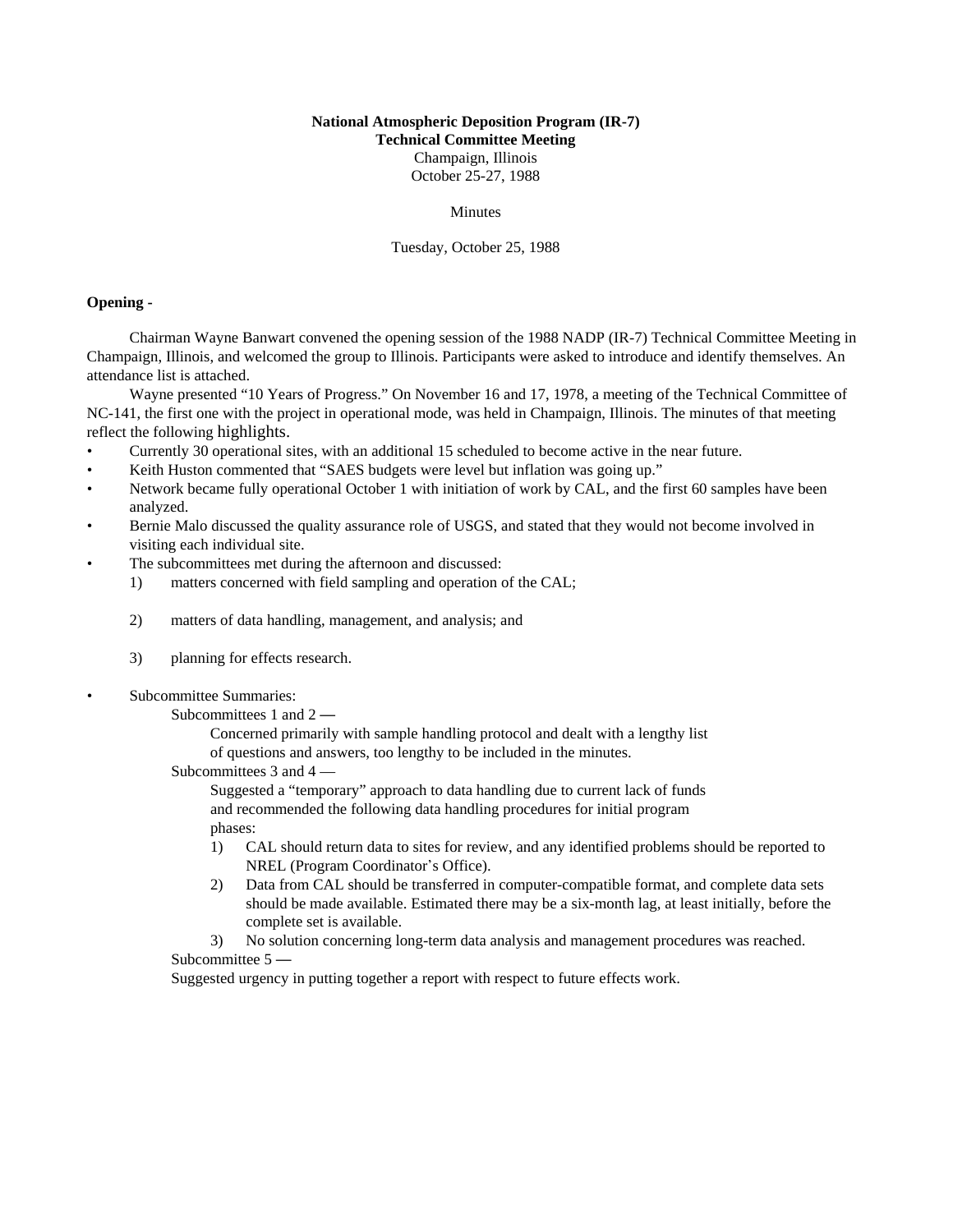# **National Atmospheric Deposition Program (IR-7) Technical Committee Meeting** Champaign, Illinois October 25-27, 1988

#### Minutes

Tuesday, October 25, 1988

# **Opening -**

Chairman Wayne Banwart convened the opening session of the 1988 NADP (IR-7) Technical Committee Meeting in Champaign, Illinois, and welcomed the group to Illinois. Participants were asked to introduce and identify themselves. An attendance list is attached.

Wayne presented "10 Years of Progress." On November 16 and 17, 1978, a meeting of the Technical Committee of NC-141, the first one with the project in operational mode, was held in Champaign, Illinois. The minutes of that meeting reflect the following highlights.

- Currently 30 operational sites, with an additional 15 scheduled to become active in the near future.
- Keith Huston commented that "SAES budgets were level but inflation was going up."
- Network became fully operational October 1 with initiation of work by CAL, and the first 60 samples have been analyzed.
- Bernie Malo discussed the quality assurance role of USGS, and stated that they would not become involved in visiting each individual site.
- The subcommittees met during the afternoon and discussed:
	- 1) matters concerned with field sampling and operation of the CAL;
	- 2) matters of data handling, management, and analysis; and
	- 3) planning for effects research.
- Subcommittee Summaries:
	- Subcommittees 1 and  $2 -$

Concerned primarily with sample handling protocol and dealt with a lengthy list of questions and answers, too lengthy to be included in the minutes.

Subcommittees 3 and 4 —

Suggested a "temporary" approach to data handling due to current lack of funds and recommended the following data handling procedures for initial program phases:

- 1) CAL should return data to sites for review, and any identified problems should be reported to NREL (Program Coordinator's Office).
- 2) Data from CAL should be transferred in computer-compatible format, and complete data sets should be made available. Estimated there may be a six-month lag, at least initially, before the complete set is available.
- 3) No solution concerning long-term data analysis and management procedures was reached. Subcommittee 5 —

Suggested urgency in putting together a report with respect to future effects work.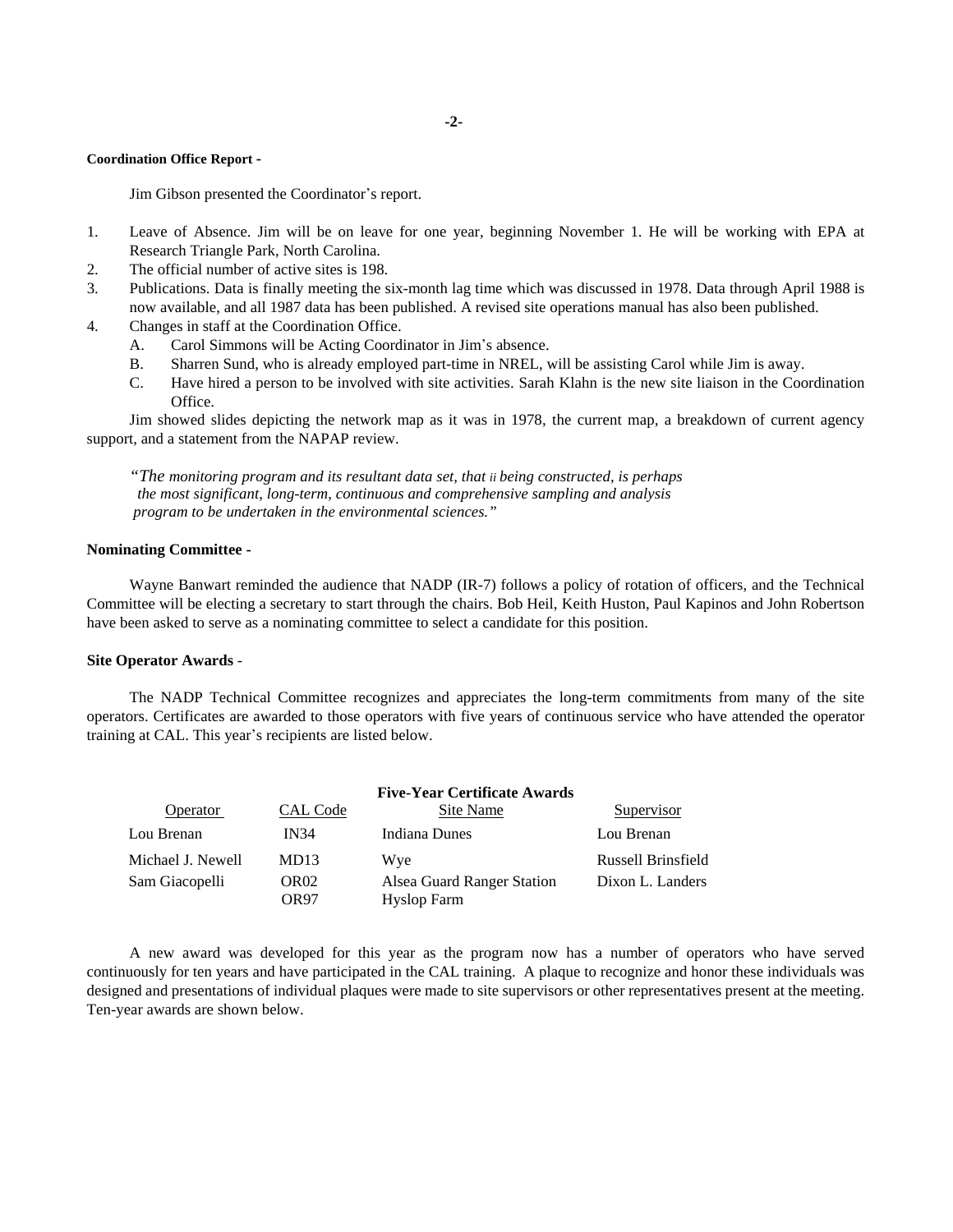#### **Coordination Office Report -**

Jim Gibson presented the Coordinator's report.

- 1. Leave of Absence. Jim will be on leave for one year, beginning November 1. He will be working with EPA at Research Triangle Park, North Carolina.
- 2. The official number of active sites is 198.
- 3. Publications. Data is finally meeting the six-month lag time which was discussed in 1978. Data through April 1988 is now available, and all 1987 data has been published. A revised site operations manual has also been published.
- 4. Changes in staff at the Coordination Office.
	- A. Carol Simmons will be Acting Coordinator in Jim's absence.
	- B. Sharren Sund, who is already employed part-time in NREL, will be assisting Carol while Jim is away.
	- C. Have hired a person to be involved with site activities. Sarah Klahn is the new site liaison in the Coordination Office.

Jim showed slides depicting the network map as it was in 1978, the current map, a breakdown of current agency support, and a statement from the NAPAP review.

*"The monitoring program and its resultant data set, that ii being constructed, is perhaps the most significant, long-term, continuous and comprehensive sampling and analysis program to be undertaken in the environmental sciences."*

#### **Nominating Committee -**

Wayne Banwart reminded the audience that NADP (IR-7) follows a policy of rotation of officers, and the Technical Committee will be electing a secretary to start through the chairs. Bob Heil, Keith Huston, Paul Kapinos and John Robertson have been asked to serve as a nominating committee to select a candidate for this position.

### **Site Operator Awards** -

The NADP Technical Committee recognizes and appreciates the long-term commitments from many of the site operators. Certificates are awarded to those operators with five years of continuous service who have attended the operator training at CAL. This year's recipients are listed below.

|                   | <b>Five-Year Certificate Awards</b> |                                                  |                    |
|-------------------|-------------------------------------|--------------------------------------------------|--------------------|
| Operator          | CAL Code                            | Site Name                                        | Supervisor         |
| Lou Brenan        | <b>IN34</b>                         | Indiana Dunes                                    | Lou Brenan         |
| Michael J. Newell | MD <sub>13</sub>                    | Wye                                              | Russell Brinsfield |
| Sam Giacopelli    | OR <sub>02</sub><br>OR97            | Alsea Guard Ranger Station<br><b>Hyslop Farm</b> | Dixon L. Landers   |

A new award was developed for this year as the program now has a number of operators who have served continuously for ten years and have participated in the CAL training. A plaque to recognize and honor these individuals was designed and presentations of individual plaques were made to site supervisors or other representatives present at the meeting. Ten-year awards are shown below.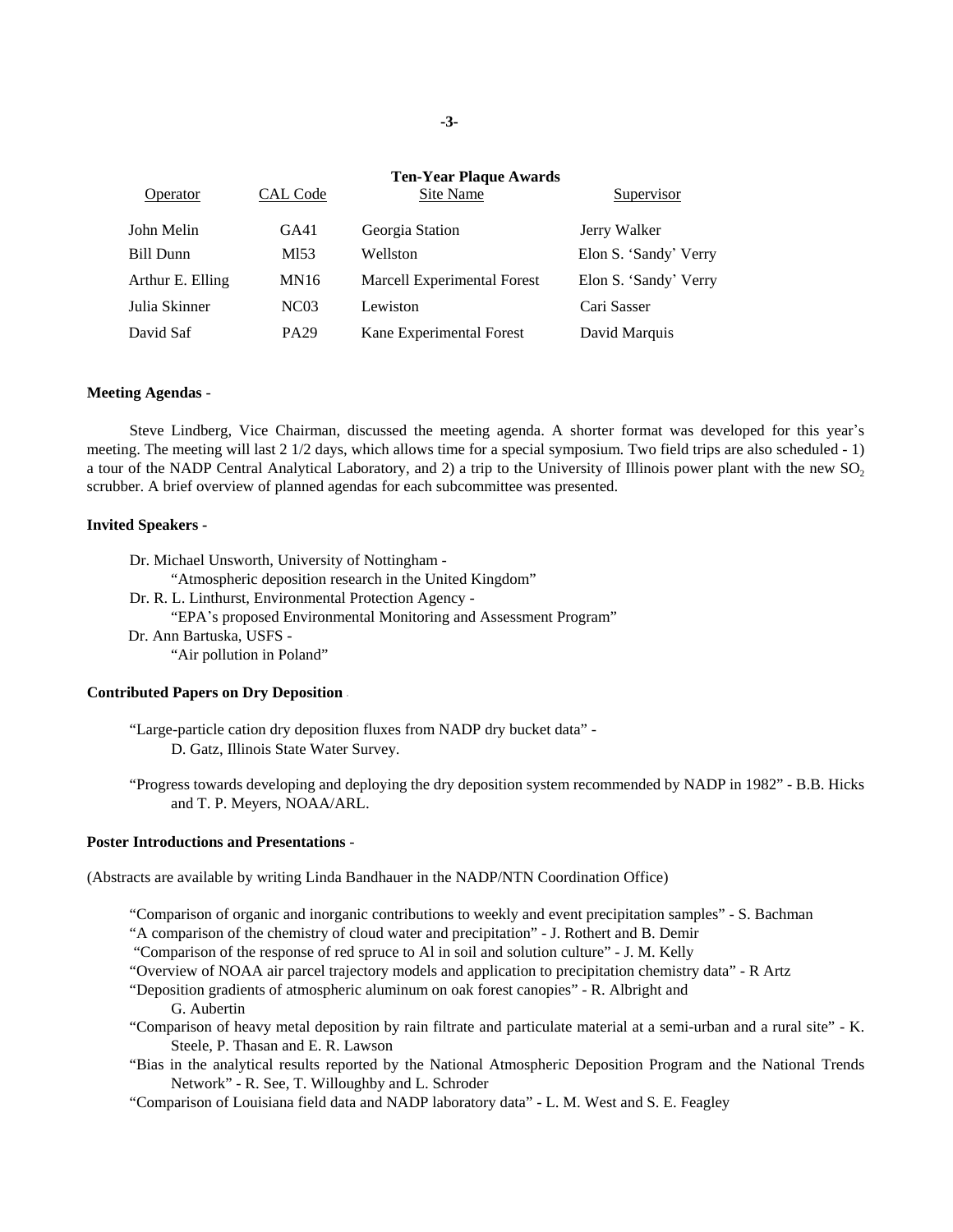| <b>Operator</b>  | CAL Code         | <b>Ten-Year Plaque Awards</b><br>Site Name | Supervisor            |
|------------------|------------------|--------------------------------------------|-----------------------|
| John Melin       | GA41             | Georgia Station                            | Jerry Walker          |
| Bill Dunn        | M153             | Wellston                                   | Elon S. 'Sandy' Verry |
| Arthur E. Elling | MN16             | Marcell Experimental Forest                | Elon S. 'Sandy' Verry |
| Julia Skinner    | NC <sub>03</sub> | Lewiston                                   | Cari Sasser           |
| David Saf        | PA <sub>29</sub> | Kane Experimental Forest                   | David Marquis         |

#### **Meeting Agendas** -

Steve Lindberg, Vice Chairman, discussed the meeting agenda. A shorter format was developed for this year's meeting. The meeting will last 2 1/2 days, which allows time for a special symposium. Two field trips are also scheduled - 1) a tour of the NADP Central Analytical Laboratory, and 2) a trip to the University of Illinois power plant with the new SO<sub>2</sub> scrubber. A brief overview of planned agendas for each subcommittee was presented.

#### **Invited Speakers -**

Dr. Michael Unsworth, University of Nottingham - "Atmospheric deposition research in the United Kingdom" Dr. R. L. Linthurst, Environmental Protection Agency - "EPA's proposed Environmental Monitoring and Assessment Program" Dr. Ann Bartuska, USFS - "Air pollution in Poland"

## **Contributed Papers on Dry Deposition** -

"Large-particle cation dry deposition fluxes from NADP dry bucket data" - D. Gatz, Illinois State Water Survey.

"Progress towards developing and deploying the dry deposition system recommended by NADP in 1982" - B.B. Hicks and T. P. Meyers, NOAA/ARL.

#### **Poster Introductions and Presentations** -

(Abstracts are available by writing Linda Bandhauer in the NADP/NTN Coordination Office)

"Comparison of organic and inorganic contributions to weekly and event precipitation samples" - S. Bachman

"A comparison of the chemistry of cloud water and precipitation" - J. Rothert and B. Demir

"Comparison of the response of red spruce to Al in soil and solution culture" - J. M. Kelly

"Overview of NOAA air parcel trajectory models and application to precipitation chemistry data" - R Artz

"Deposition gradients of atmospheric aluminum on oak forest canopies" - R. Albright and

- G. Aubertin
- "Comparison of heavy metal deposition by rain filtrate and particulate material at a semi-urban and a rural site" K. Steele, P. Thasan and E. R. Lawson
- "Bias in the analytical results reported by the National Atmospheric Deposition Program and the National Trends Network" - R. See, T. Willoughby and L. Schroder

"Comparison of Louisiana field data and NADP laboratory data" - L. M. West and S. E. Feagley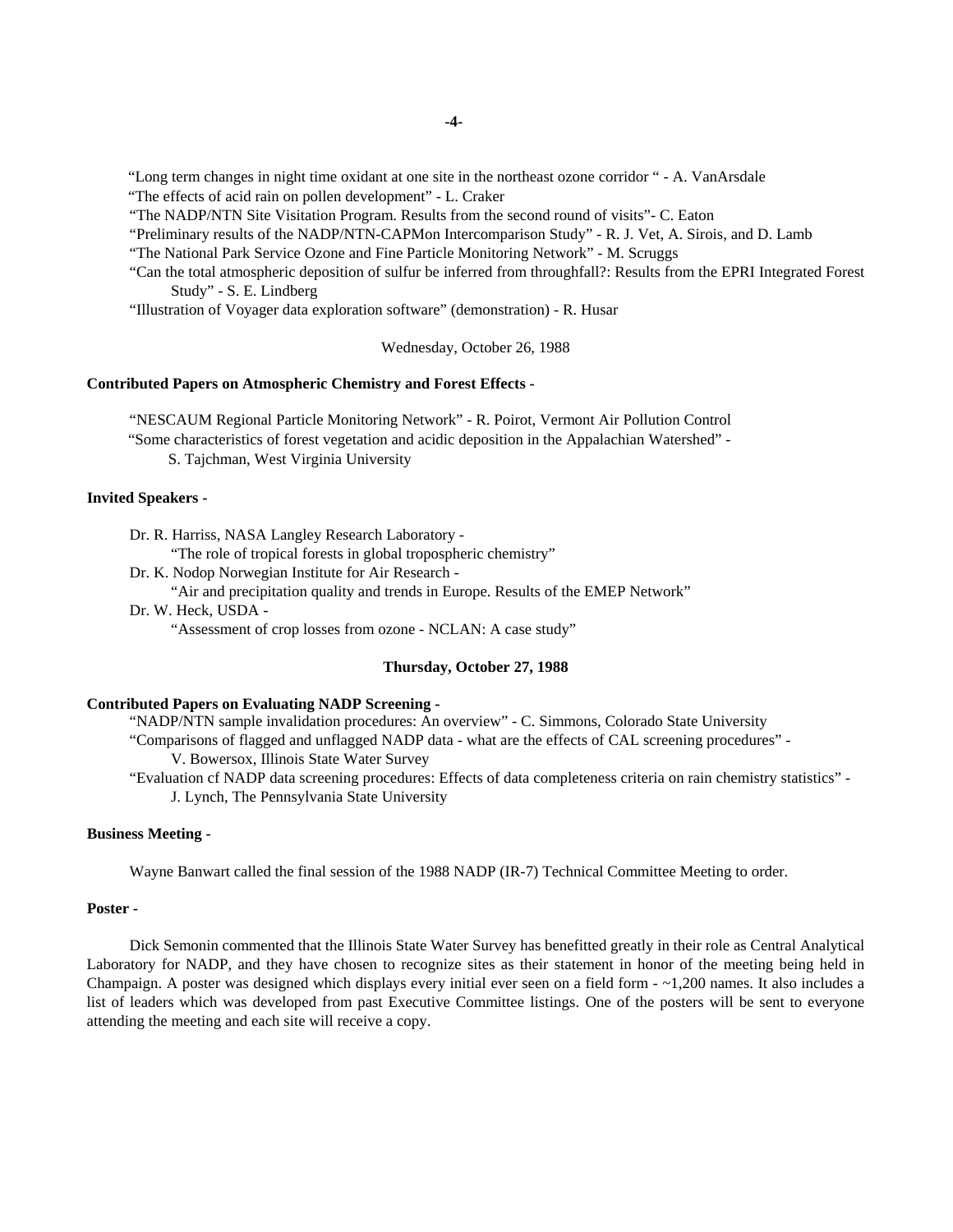"Long term changes in night time oxidant at one site in the northeast ozone corridor " - A. VanArsdale

"The effects of acid rain on pollen development" - L. Craker

"The NADP/NTN Site Visitation Program. Results from the second round of visits"- C. Eaton

"Preliminary results of the NADP/NTN-CAPMon Intercomparison Study" - R. J. Vet, A. Sirois, and D. Lamb

"The National Park Service Ozone and Fine Particle Monitoring Network" - M. Scruggs

"Can the total atmospheric deposition of sulfur be inferred from throughfall?: Results from the EPRI Integrated Forest Study" - S. E. Lindberg

"Illustration of Voyager data exploration software" (demonstration) - R. Husar

Wednesday, October 26, 1988

# **Contributed Papers on Atmospheric Chemistry and Forest Effects -**

"NESCAUM Regional Particle Monitoring Network" - R. Poirot, Vermont Air Pollution Control

"Some characteristics of forest vegetation and acidic deposition in the Appalachian Watershed" -

S. Tajchman, West Virginia University

# **Invited Speakers -**

Dr. R. Harriss, NASA Langley Research Laboratory -

"The role of tropical forests in global tropospheric chemistry"

Dr. K. Nodop Norwegian Institute for Air Research -

"Air and precipitation quality and trends in Europe. Results of the EMEP Network"

Dr. W. Heck, USDA -

"Assessment of crop losses from ozone - NCLAN: A case study"

# **Thursday, October 27, 1988**

# **Contributed Papers on Evaluating NADP Screening -**

"NADP/NTN sample invalidation procedures: An overview" - C. Simmons, Colorado State University "Comparisons of flagged and unflagged NADP data - what are the effects of CAL screening procedures" - V. Bowersox, Illinois State Water Survey

"Evaluation cf NADP data screening procedures: Effects of data completeness criteria on rain chemistry statistics" - J. Lynch, The Pennsylvania State University

### **Business Meeting -**

Wayne Banwart called the final session of the 1988 NADP (IR-7) Technical Committee Meeting to order.

## **Poster -**

Dick Semonin commented that the Illinois State Water Survey has benefitted greatly in their role as Central Analytical Laboratory for NADP, and they have chosen to recognize sites as their statement in honor of the meeting being held in Champaign. A poster was designed which displays every initial ever seen on a field form - ~1,200 names. It also includes a list of leaders which was developed from past Executive Committee listings. One of the posters will be sent to everyone attending the meeting and each site will receive a copy.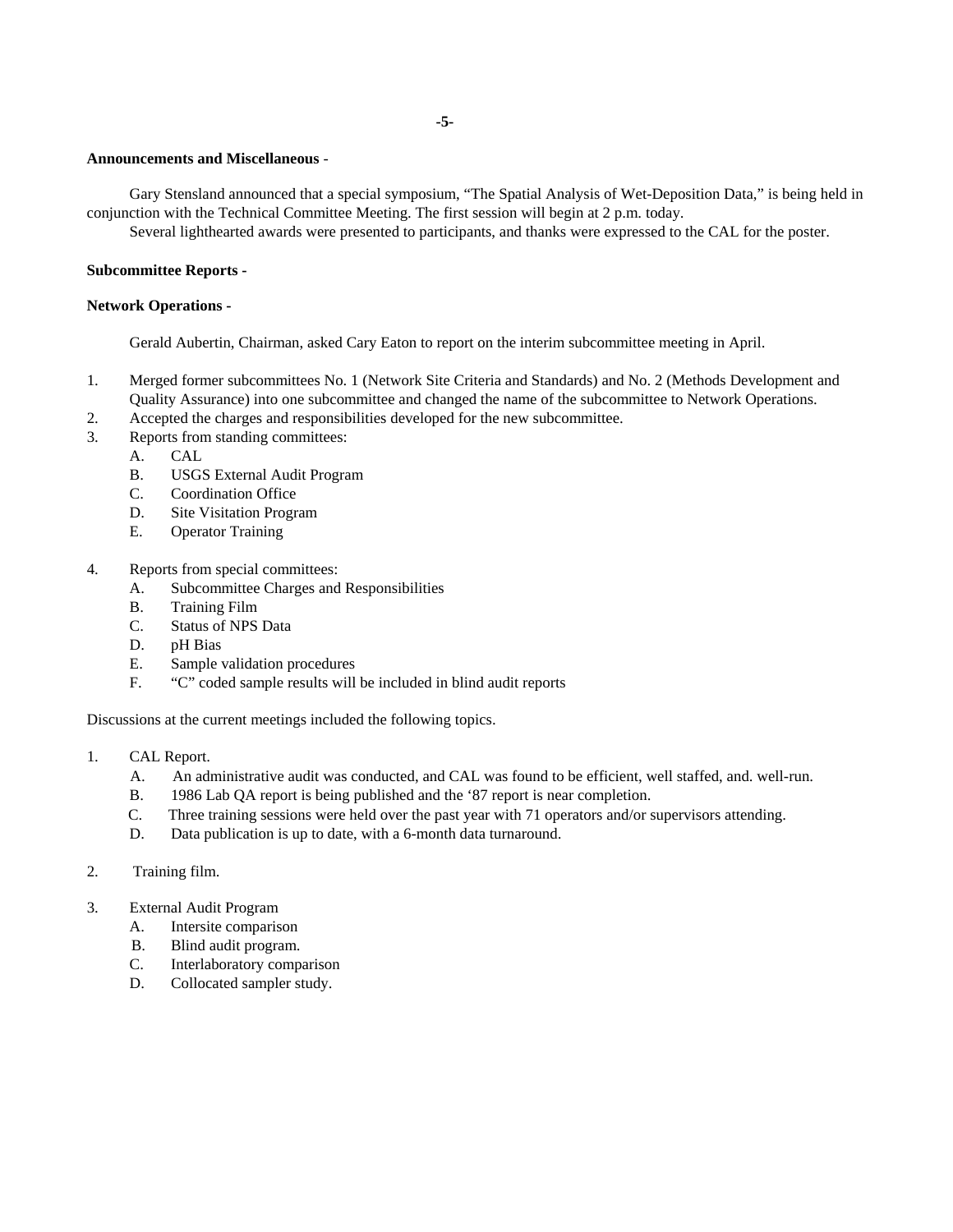### **Announcements and Miscellaneous** -

Gary Stensland announced that a special symposium, "The Spatial Analysis of Wet-Deposition Data," is being held in conjunction with the Technical Committee Meeting. The first session will begin at 2 p.m. today.

Several lighthearted awards were presented to participants, and thanks were expressed to the CAL for the poster.

### **Subcommittee Reports -**

#### **Network Operations -**

Gerald Aubertin, Chairman, asked Cary Eaton to report on the interim subcommittee meeting in April.

- 1. Merged former subcommittees No. 1 (Network Site Criteria and Standards) and No. 2 (Methods Development and Quality Assurance) into one subcommittee and changed the name of the subcommittee to Network Operations.
- 2. Accepted the charges and responsibilities developed for the new subcommittee.
- 3. Reports from standing committees:
	- A. CAL
	- B. USGS External Audit Program
	- C. Coordination Office
	- D. Site Visitation Program
	- E. Operator Training
- 4. Reports from special committees:
	- A. Subcommittee Charges and Responsibilities
	- B. Training Film
	- C. Status of NPS Data
	- D. pH Bias
	- E. Sample validation procedures
	- F. "C" coded sample results will be included in blind audit reports

Discussions at the current meetings included the following topics.

- 1. CAL Report.
	- A. An administrative audit was conducted, and CAL was found to be efficient, well staffed, and. well-run.
	- B. 1986 Lab QA report is being published and the '87 report is near completion.
	- C. Three training sessions were held over the past year with 71 operators and/or supervisors attending.
	- D. Data publication is up to date, with a 6-month data turnaround.
- 2. Training film.
- 3. External Audit Program
	- A. Intersite comparison
	- B. Blind audit program.
	- C. Interlaboratory comparison
	- D. Collocated sampler study.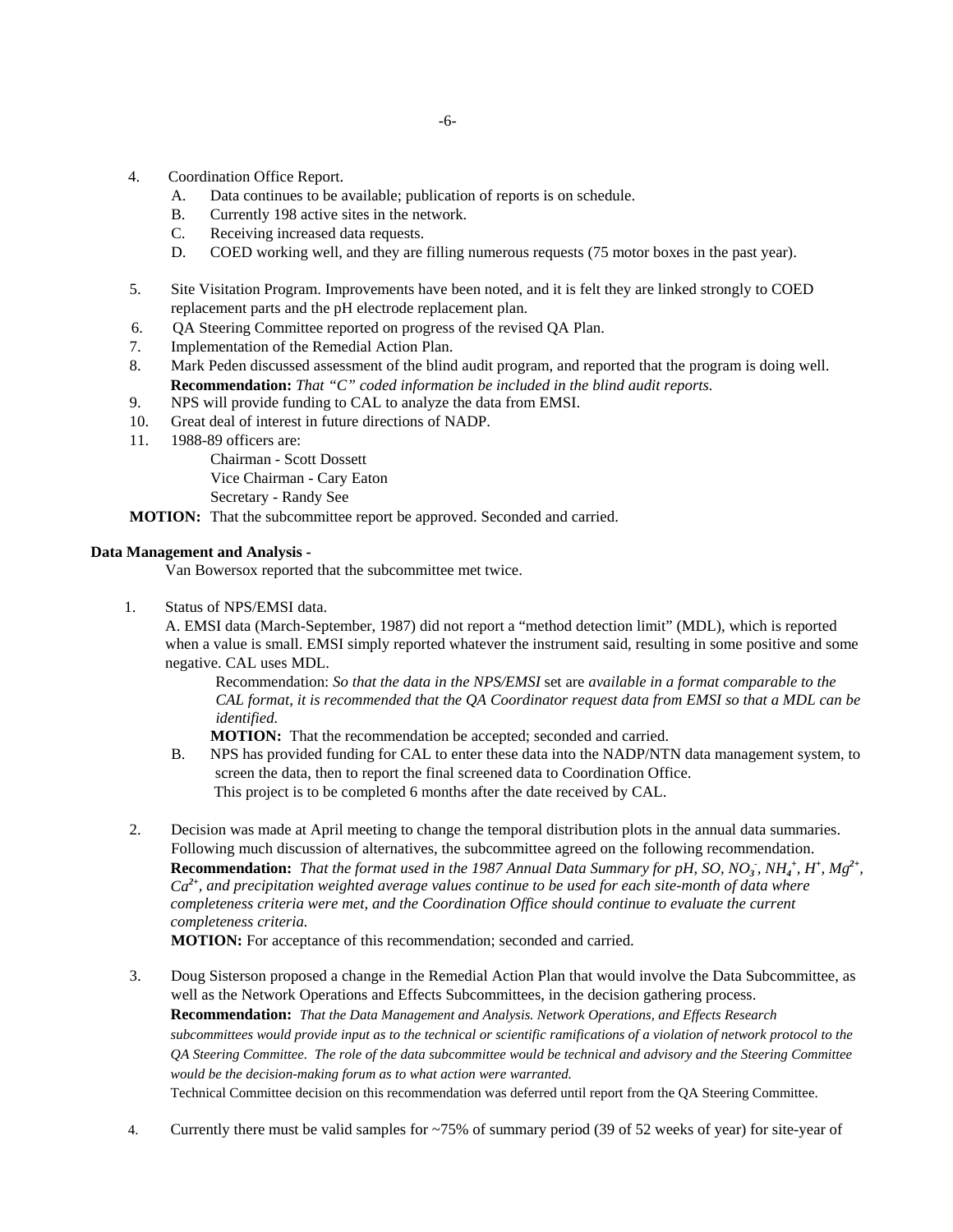- 4. Coordination Office Report.
	- A. Data continues to be available; publication of reports is on schedule.
	- B. Currently 198 active sites in the network.
	- C. Receiving increased data requests.
	- D. COED working well, and they are filling numerous requests (75 motor boxes in the past year).
- 5. Site Visitation Program. Improvements have been noted, and it is felt they are linked strongly to COED replacement parts and the pH electrode replacement plan.
- 6. QA Steering Committee reported on progress of the revised QA Plan.
- 7. Implementation of the Remedial Action Plan.
- 8. Mark Peden discussed assessment of the blind audit program, and reported that the program is doing well. **Recommendation:** *That "C" coded information be included in the blind audit reports.*
- 9. NPS will provide funding to CAL to analyze the data from EMSI.
- 10. Great deal of interest in future directions of NADP.
- 11. 1988-89 officers are:

Chairman - Scott Dossett Vice Chairman - Cary Eaton Secretary - Randy See

**MOTION:** That the subcommittee report be approved. Seconded and carried.

# **Data Management and Analysis -**

Van Bowersox reported that the subcommittee met twice.

1. Status of NPS/EMSI data.

A. EMSI data (March-September, 1987) did not report a "method detection limit" (MDL), which is reported when a value is small. EMSI simply reported whatever the instrument said, resulting in some positive and some negative. CAL uses MDL.

Recommendation: *So that the data in the NPS/EMSI* set are *available in a format comparable to the CAL format, it is recommended that the QA Coordinator request data from EMSI so that a MDL can be identified.*

**MOTION:** That the recommendation be accepted; seconded and carried.

- B. NPS has provided funding for CAL to enter these data into the NADP/NTN data management system, to screen the data, then to report the final screened data to Coordination Office. This project is to be completed 6 months after the date received by CAL.
- 2. Decision was made at April meeting to change the temporal distribution plots in the annual data summaries. Following much discussion of alternatives, the subcommittee agreed on the following recommendation. **Recommendation:** That the format used in the 1987 Annual Data Summary for pH, SO, NO<sub>3</sub>, NH<sub>4</sub><sup>+</sup>, H<sup>+</sup>, Mg<sup>2+</sup>, *Ca2+, and precipitation weighted average values continue to be used for each site-month of data where completeness criteria were met, and the Coordination Office should continue to evaluate the current completeness criteria.*

**MOTION:** For acceptance of this recommendation; seconded and carried.

- 3. Doug Sisterson proposed a change in the Remedial Action Plan that would involve the Data Subcommittee, as well as the Network Operations and Effects Subcommittees, in the decision gathering process. **Recommendation:** *That the Data Management and Analysis. Network Operations, and Effects Research subcommittees would provide input as to the technical or scientific ramifications of a violation of network protocol to the QA Steering Committee. The role of the data subcommittee would be technical and advisory and the Steering Committee would be the decision-making forum as to what action were warranted.* Technical Committee decision on this recommendation was deferred until report from the QA Steering Committee.
- 4. Currently there must be valid samples for ~75% of summary period (39 of 52 weeks of year) for site-year of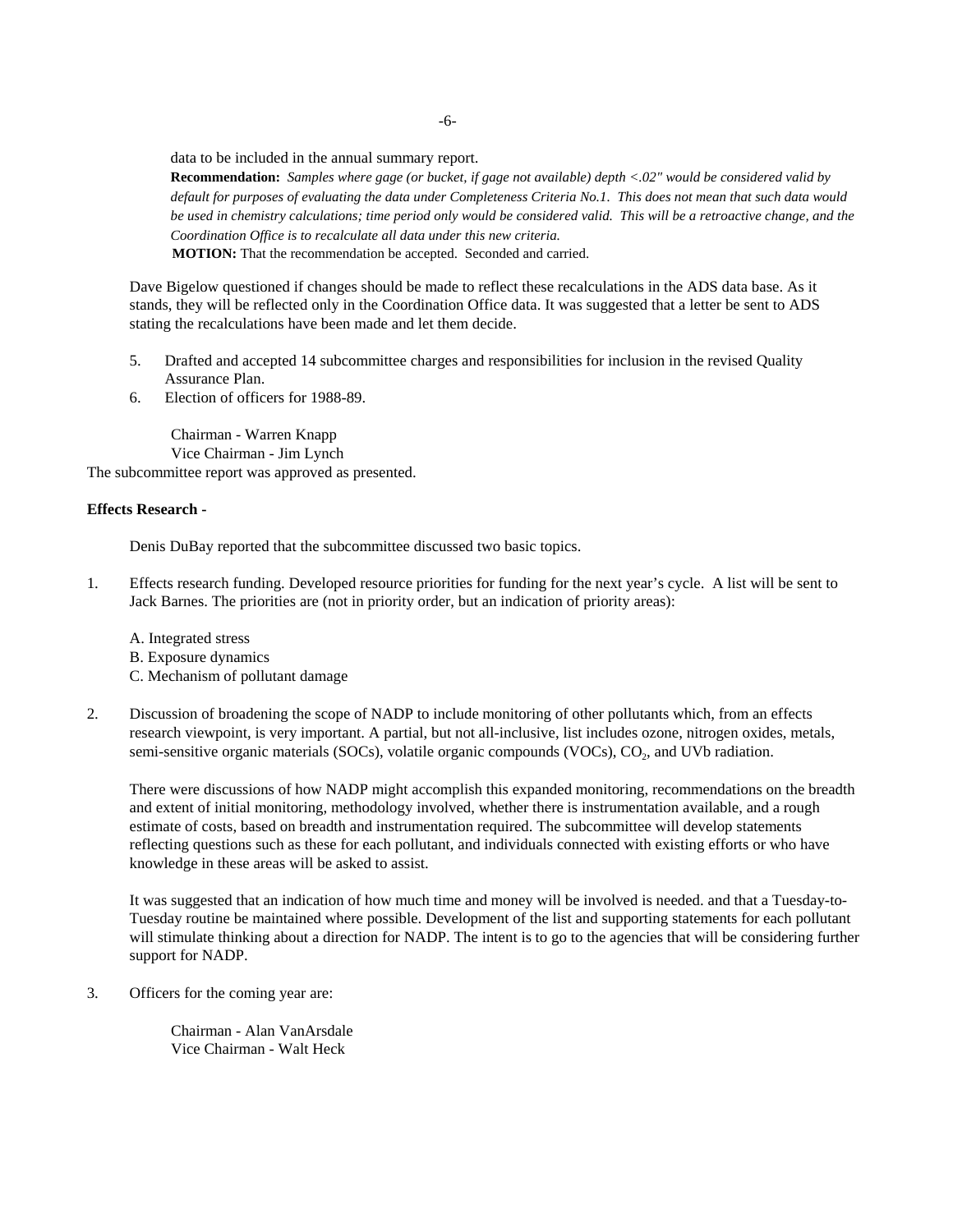data to be included in the annual summary report.

**Recommendation:** *Samples where gage (or bucket, if gage not available) depth <.02" would be considered valid by default for purposes of evaluating the data under Completeness Criteria No.1. This does not mean that such data would be used in chemistry calculations; time period only would be considered valid. This will be a retroactive change, and the Coordination Office is to recalculate all data under this new criteria.*  **MOTION:** That the recommendation be accepted. Seconded and carried.

Dave Bigelow questioned if changes should be made to reflect these recalculations in the ADS data base. As it stands, they will be reflected only in the Coordination Office data. It was suggested that a letter be sent to ADS stating the recalculations have been made and let them decide.

- 5. Drafted and accepted 14 subcommittee charges and responsibilities for inclusion in the revised Quality Assurance Plan.
- 6. Election of officers for 1988-89.

Chairman - Warren Knapp Vice Chairman - Jim Lynch

The subcommittee report was approved as presented.

# **Effects Research -**

Denis DuBay reported that the subcommittee discussed two basic topics.

1. Effects research funding. Developed resource priorities for funding for the next year's cycle. A list will be sent to Jack Barnes. The priorities are (not in priority order, but an indication of priority areas):

A. Integrated stress B. Exposure dynamics C. Mechanism of pollutant damage

2. Discussion of broadening the scope of NADP to include monitoring of other pollutants which, from an effects research viewpoint, is very important. A partial, but not all-inclusive, list includes ozone, nitrogen oxides, metals, semi-sensitive organic materials (SOCs), volatile organic compounds (VOCs), CO<sub>2</sub>, and UVb radiation.

There were discussions of how NADP might accomplish this expanded monitoring, recommendations on the breadth and extent of initial monitoring, methodology involved, whether there is instrumentation available, and a rough estimate of costs, based on breadth and instrumentation required. The subcommittee will develop statements reflecting questions such as these for each pollutant, and individuals connected with existing efforts or who have knowledge in these areas will be asked to assist.

It was suggested that an indication of how much time and money will be involved is needed. and that a Tuesday-to-Tuesday routine be maintained where possible. Development of the list and supporting statements for each pollutant will stimulate thinking about a direction for NADP. The intent is to go to the agencies that will be considering further support for NADP.

3. Officers for the coming year are:

Chairman - Alan VanArsdale Vice Chairman - Walt Heck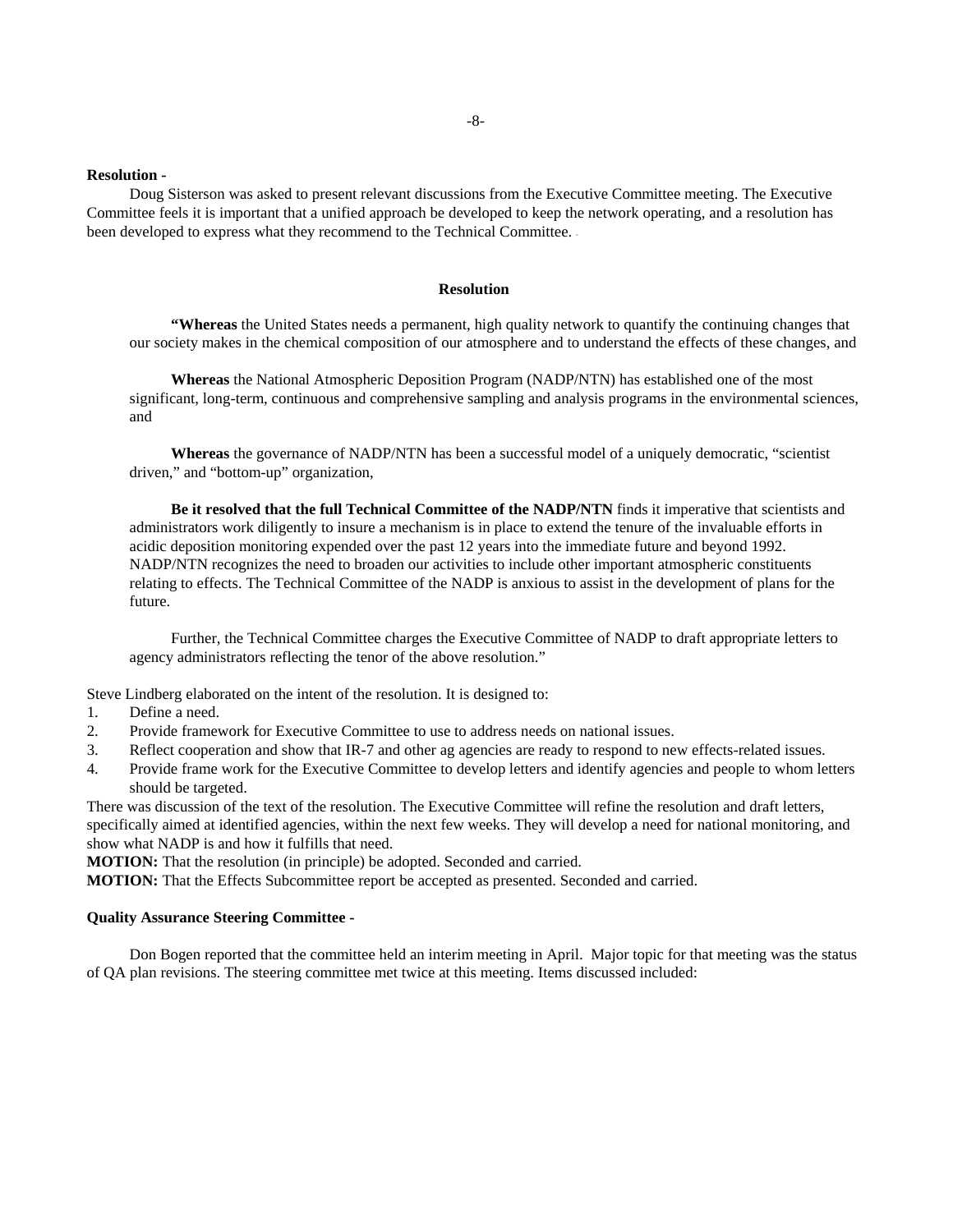#### **Resolution -**

Doug Sisterson was asked to present relevant discussions from the Executive Committee meeting. The Executive Committee feels it is important that a unified approach be developed to keep the network operating, and a resolution has been developed to express what they recommend to the Technical Committee. -

#### **Resolution**

**"Whereas** the United States needs a permanent, high quality network to quantify the continuing changes that our society makes in the chemical composition of our atmosphere and to understand the effects of these changes, and

**Whereas** the National Atmospheric Deposition Program (NADP/NTN) has established one of the most significant, long-term, continuous and comprehensive sampling and analysis programs in the environmental sciences, and

**Whereas** the governance of NADP/NTN has been a successful model of a uniquely democratic, "scientist driven," and "bottom-up" organization,

**Be it resolved that the full Technical Committee of the NADP/NTN** finds it imperative that scientists and administrators work diligently to insure a mechanism is in place to extend the tenure of the invaluable efforts in acidic deposition monitoring expended over the past 12 years into the immediate future and beyond 1992. NADP/NTN recognizes the need to broaden our activities to include other important atmospheric constituents relating to effects. The Technical Committee of the NADP is anxious to assist in the development of plans for the future.

Further, the Technical Committee charges the Executive Committee of NADP to draft appropriate letters to agency administrators reflecting the tenor of the above resolution."

Steve Lindberg elaborated on the intent of the resolution. It is designed to:

- 1. Define a need.
- 2. Provide framework for Executive Committee to use to address needs on national issues.
- 3. Reflect cooperation and show that IR-7 and other ag agencies are ready to respond to new effects-related issues.
- 4. Provide frame work for the Executive Committee to develop letters and identify agencies and people to whom letters should be targeted.

There was discussion of the text of the resolution. The Executive Committee will refine the resolution and draft letters, specifically aimed at identified agencies, within the next few weeks. They will develop a need for national monitoring, and show what NADP is and how it fulfills that need.

**MOTION:** That the resolution (in principle) be adopted. Seconded and carried.

**MOTION:** That the Effects Subcommittee report be accepted as presented. Seconded and carried.

#### **Quality Assurance Steering Committee -**

Don Bogen reported that the committee held an interim meeting in April. Major topic for that meeting was the status of QA plan revisions. The steering committee met twice at this meeting. Items discussed included: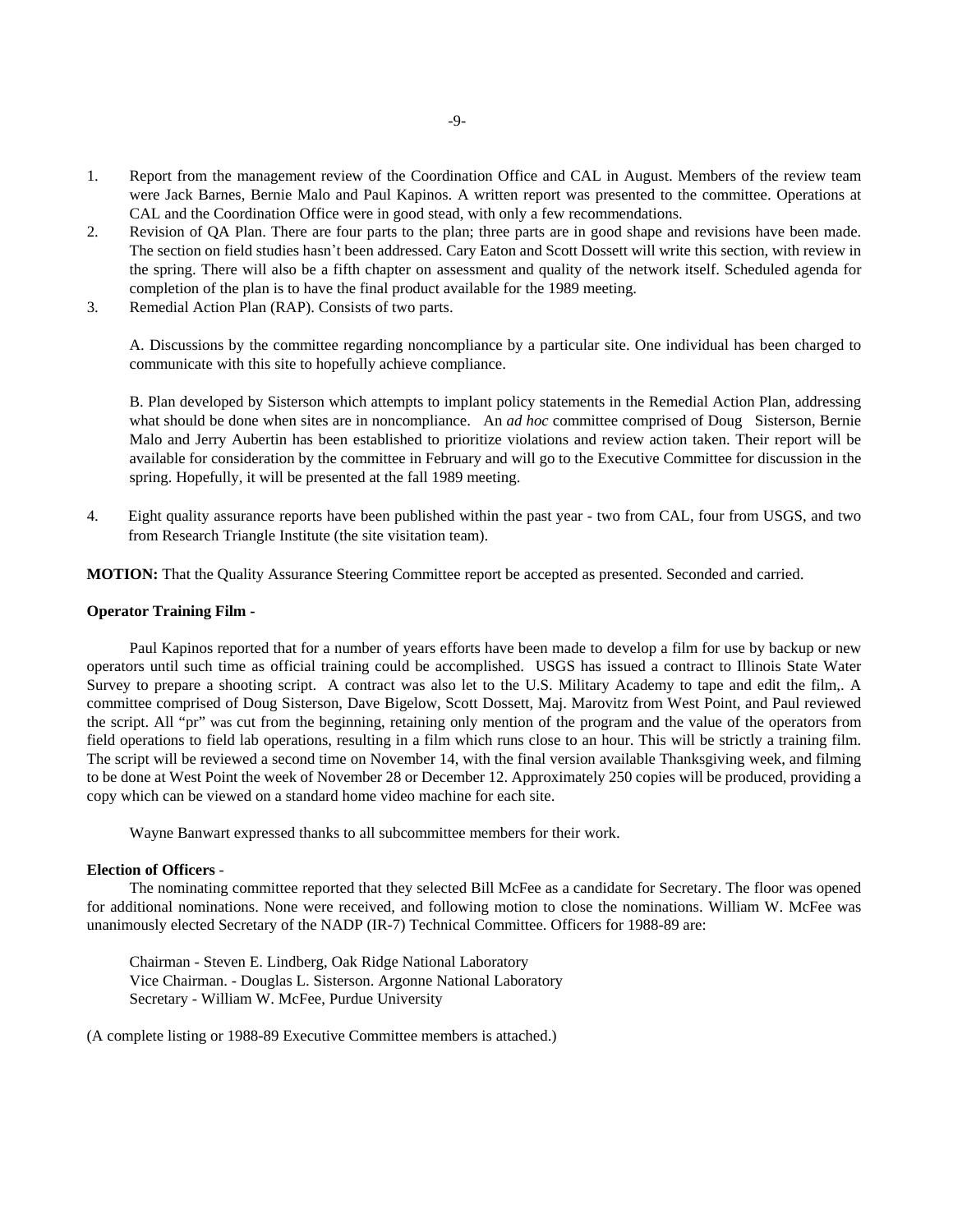- 1. Report from the management review of the Coordination Office and CAL in August. Members of the review team were Jack Barnes, Bernie Malo and Paul Kapinos. A written report was presented to the committee. Operations at CAL and the Coordination Office were in good stead, with only a few recommendations.
- 2. Revision of QA Plan. There are four parts to the plan; three parts are in good shape and revisions have been made. The section on field studies hasn't been addressed. Cary Eaton and Scott Dossett will write this section, with review in the spring. There will also be a fifth chapter on assessment and quality of the network itself. Scheduled agenda for completion of the plan is to have the final product available for the 1989 meeting.
- 3. Remedial Action Plan (RAP). Consists of two parts.

A. Discussions by the committee regarding noncompliance by a particular site. One individual has been charged to communicate with this site to hopefully achieve compliance.

B. Plan developed by Sisterson which attempts to implant policy statements in the Remedial Action Plan, addressing what should be done when sites are in noncompliance. An *ad hoc* committee comprised of Doug Sisterson, Bernie Malo and Jerry Aubertin has been established to prioritize violations and review action taken. Their report will be available for consideration by the committee in February and will go to the Executive Committee for discussion in the spring. Hopefully, it will be presented at the fall 1989 meeting.

4. Eight quality assurance reports have been published within the past year - two from CAL, four from USGS, and two from Research Triangle Institute (the site visitation team).

**MOTION:** That the Quality Assurance Steering Committee report be accepted as presented. Seconded and carried.

#### **Operator Training Film -**

Paul Kapinos reported that for a number of years efforts have been made to develop a film for use by backup or new operators until such time as official training could be accomplished. USGS has issued a contract to Illinois State Water Survey to prepare a shooting script. A contract was also let to the U.S. Military Academy to tape and edit the film,. A committee comprised of Doug Sisterson, Dave Bigelow, Scott Dossett, Maj. Marovitz from West Point, and Paul reviewed the script. All "pr" was cut from the beginning, retaining only mention of the program and the value of the operators from field operations to field lab operations, resulting in a film which runs close to an hour. This will be strictly a training film. The script will be reviewed a second time on November 14, with the final version available Thanksgiving week, and filming to be done at West Point the week of November 28 or December 12. Approximately 250 copies will be produced, providing a copy which can be viewed on a standard home video machine for each site.

Wayne Banwart expressed thanks to all subcommittee members for their work.

# **Election of Officers** -

The nominating committee reported that they selected Bill McFee as a candidate for Secretary. The floor was opened for additional nominations. None were received, and following motion to close the nominations. William W. McFee was unanimously elected Secretary of the NADP (IR-7) Technical Committee. Officers for 1988-89 are:

Chairman - Steven E. Lindberg, Oak Ridge National Laboratory Vice Chairman. - Douglas L. Sisterson. Argonne National Laboratory Secretary - William W. McFee, Purdue University

(A complete listing or 1988-89 Executive Committee members is attached.)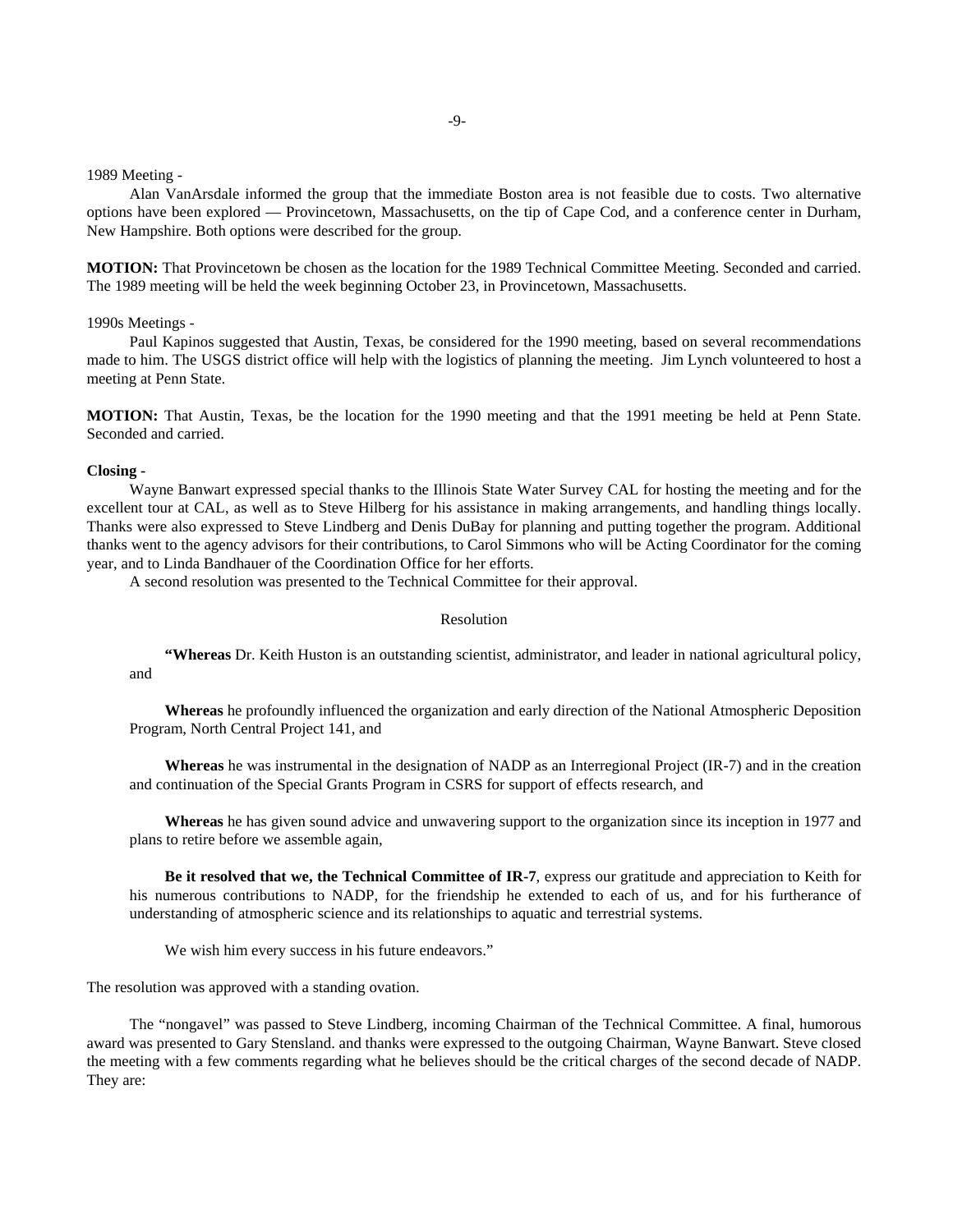1989 Meeting -

Alan VanArsdale informed the group that the immediate Boston area is not feasible due to costs. Two alternative options have been explored — Provincetown, Massachusetts, on the tip of Cape Cod, and a conference center in Durham, New Hampshire. Both options were described for the group.

**MOTION:** That Provincetown be chosen as the location for the 1989 Technical Committee Meeting. Seconded and carried. The 1989 meeting will be held the week beginning October 23, in Provincetown, Massachusetts.

1990s Meetings -

Paul Kapinos suggested that Austin, Texas, be considered for the 1990 meeting, based on several recommendations made to him. The USGS district office will help with the logistics of planning the meeting. Jim Lynch volunteered to host a meeting at Penn State.

**MOTION:** That Austin, Texas, be the location for the 1990 meeting and that the 1991 meeting be held at Penn State. Seconded and carried.

#### **Closing -**

Wayne Banwart expressed special thanks to the Illinois State Water Survey CAL for hosting the meeting and for the excellent tour at CAL, as well as to Steve Hilberg for his assistance in making arrangements, and handling things locally. Thanks were also expressed to Steve Lindberg and Denis DuBay for planning and putting together the program. Additional thanks went to the agency advisors for their contributions, to Carol Simmons who will be Acting Coordinator for the coming year, and to Linda Bandhauer of the Coordination Office for her efforts.

A second resolution was presented to the Technical Committee for their approval.

#### Resolution

**"Whereas** Dr. Keith Huston is an outstanding scientist, administrator, and leader in national agricultural policy, and

**Whereas** he profoundly influenced the organization and early direction of the National Atmospheric Deposition Program, North Central Project 141, and

**Whereas** he was instrumental in the designation of NADP as an Interregional Project (IR-7) and in the creation and continuation of the Special Grants Program in CSRS for support of effects research, and

**Whereas** he has given sound advice and unwavering support to the organization since its inception in 1977 and plans to retire before we assemble again,

**Be it resolved that we, the Technical Committee of IR-7**, express our gratitude and appreciation to Keith for his numerous contributions to NADP, for the friendship he extended to each of us, and for his furtherance of understanding of atmospheric science and its relationships to aquatic and terrestrial systems.

We wish him every success in his future endeavors."

The resolution was approved with a standing ovation.

The "nongavel" was passed to Steve Lindberg, incoming Chairman of the Technical Committee. A final, humorous award was presented to Gary Stensland. and thanks were expressed to the outgoing Chairman, Wayne Banwart. Steve closed the meeting with a few comments regarding what he believes should be the critical charges of the second decade of NADP. They are: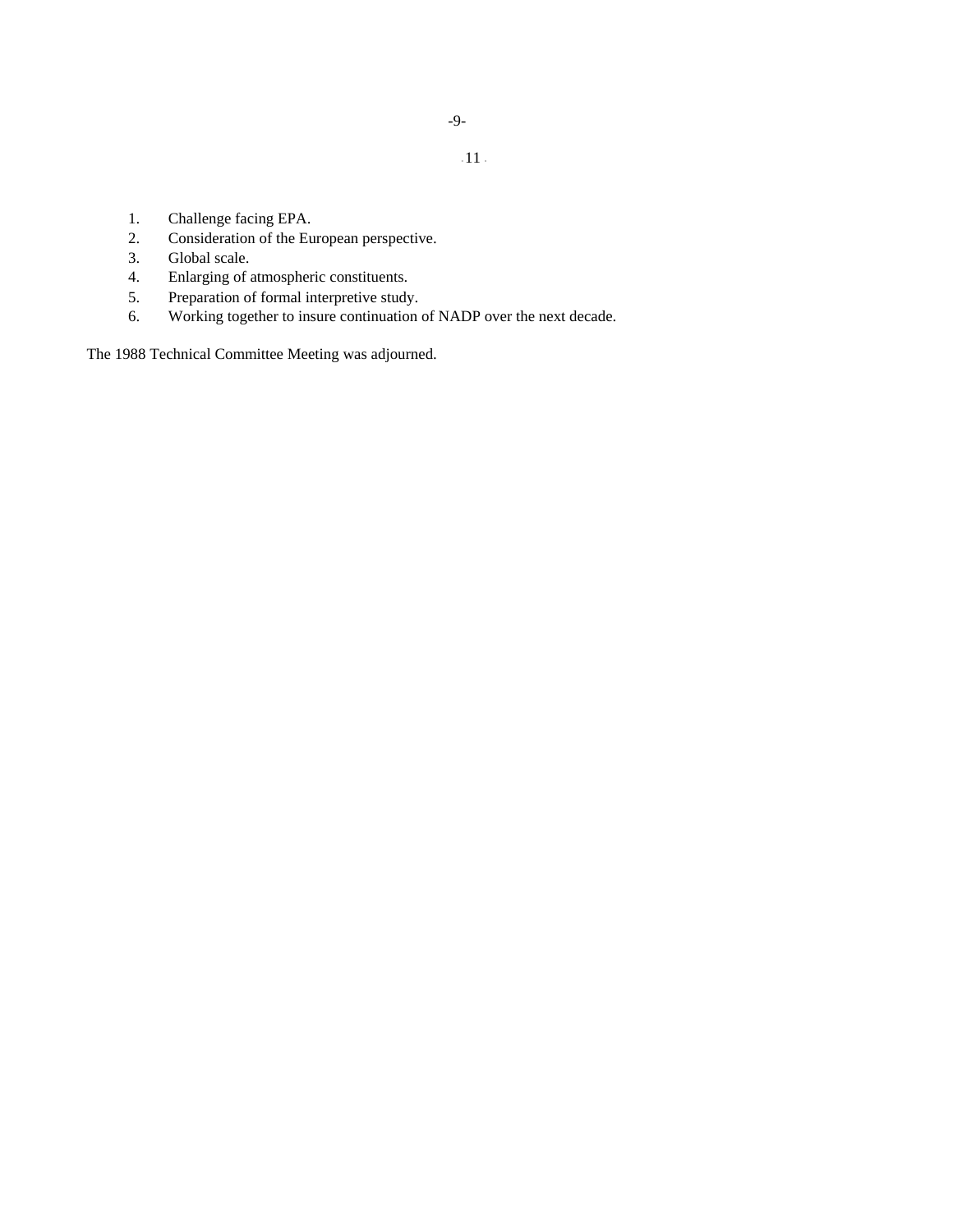- 1. Challenge facing EPA.
- 2. Consideration of the European perspective.
- 3. Global scale.
- 4. Enlarging of atmospheric constituents.
- 5. Preparation of formal interpretive study.
- 6. Working together to insure continuation of NADP over the next decade.

The 1988 Technical Committee Meeting was adjourned.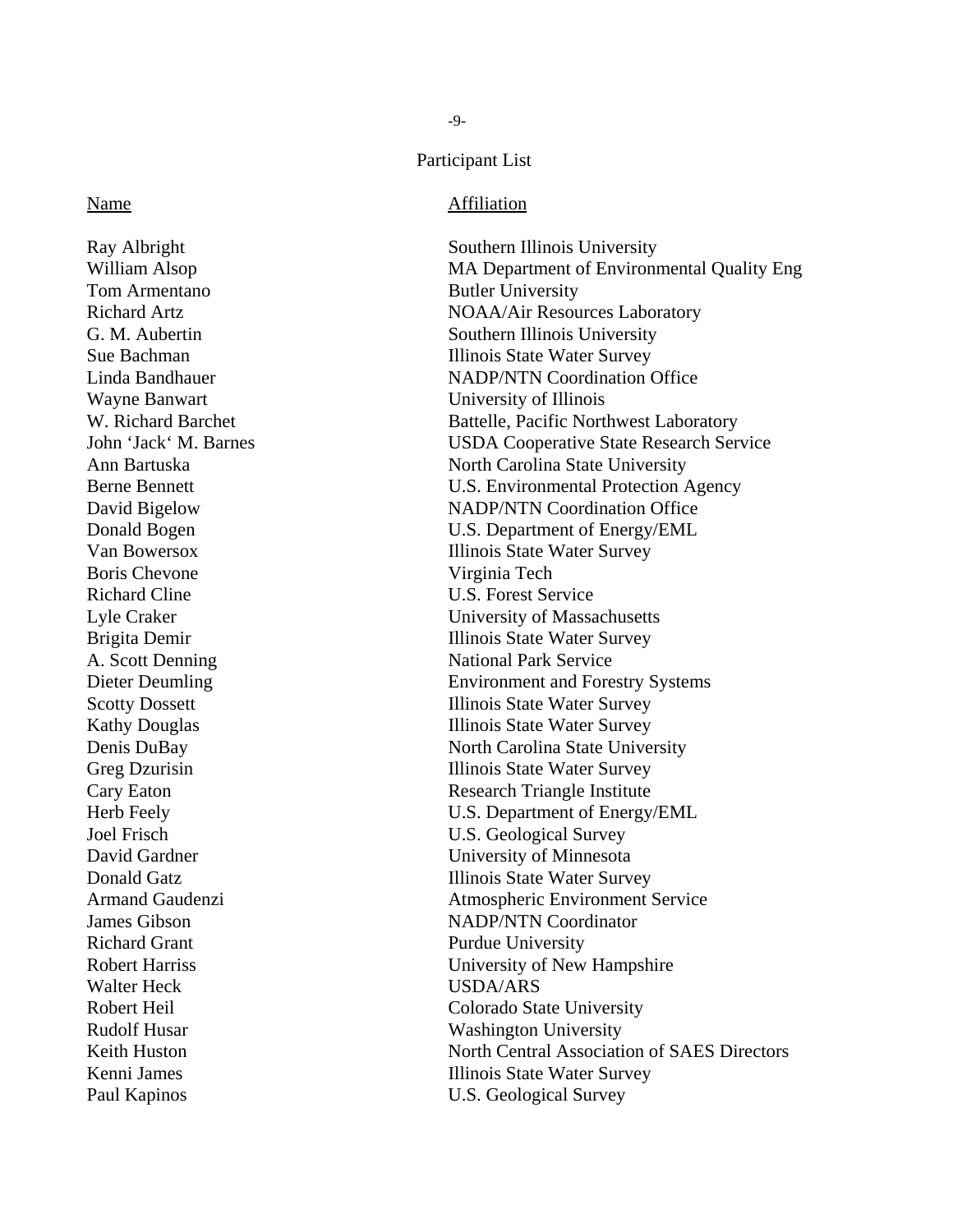# Participant List

# Name Affiliation

Ray Albright Southern Illinois University Tom Armentano Butler University Wayne Banwart University of Illinois Boris Chevone Virginia Tech Richard Cline U.S. Forest Service A. Scott Denning National Park Service Richard Grant Purdue University Walter Heck USDA/ARS

William Alsop MA Department of Environmental Quality Eng Richard Artz **NOAA/Air Resources Laboratory NOAA/Air Resources Laboratory** G. M. Aubertin Southern Illinois University Sue Bachman Illinois State Water Survey Linda Bandhauer NADP/NTN Coordination Office W. Richard Barchet Battelle, Pacific Northwest Laboratory John 'Jack' M. Barnes USDA Cooperative State Research Service Ann Bartuska North Carolina State University Berne Bennett U.S. Environmental Protection Agency David Bigelow NADP/NTN Coordination Office Donald Bogen U.S. Department of Energy/EML Van Bowersox Illinois State Water Survey Lyle Craker University of Massachusetts Brigita Demir **Illinois State Water Survey** Dieter Deumling Environment and Forestry Systems Scotty Dossett Illinois State Water Survey Kathy Douglas **Illinois** State Water Survey Denis DuBay North Carolina State University Greg Dzurisin Illinois State Water Survey Cary Eaton **Research Triangle Institute** Herb Feely U.S. Department of Energy/EML Joel Frisch U.S. Geological Survey David Gardner University of Minnesota Donald Gatz **Illinois State Water Survey** Armand Gaudenzi Atmospheric Environment Service James Gibson NADP/NTN Coordinator Robert Harriss University of New Hampshire Robert Heil Colorado State University Rudolf Husar Washington University Keith Huston North Central Association of SAES Directors Kenni James **Illinois State Water Survey** Paul Kapinos U.S. Geological Survey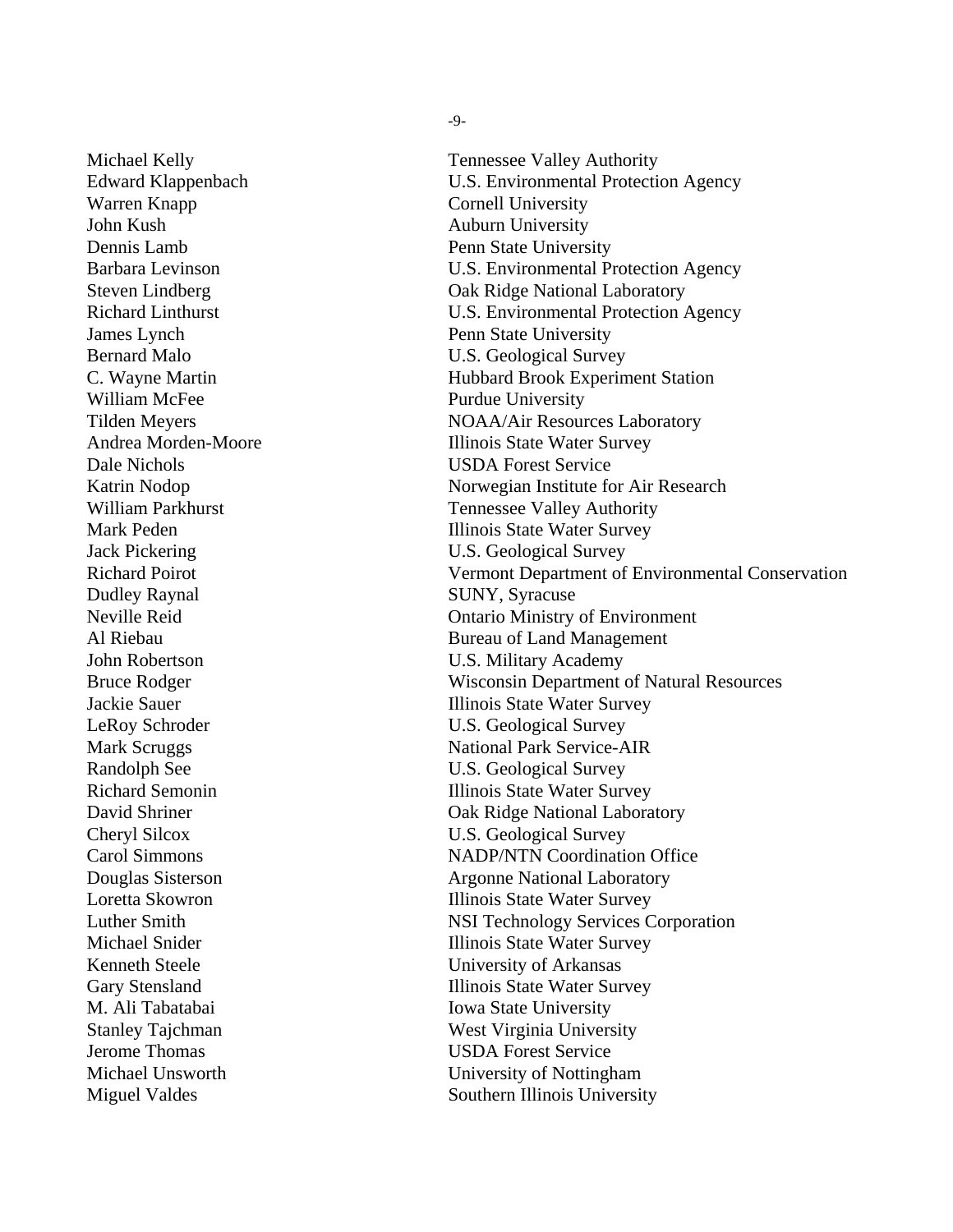Michael Kelly **Tennessee Valley Authority** Warren Knapp Cornell University John Kush **Auburn University** Dennis Lamb Penn State University James Lynch Penn State University William McFee Purdue University Dale Nichols USDA Forest Service Dudley Raynal SUNY, Syracuse M. Ali Tabatabai Iowa State University Jerome Thomas USDA Forest Service

-9-

Edward Klappenbach U.S. Environmental Protection Agency Barbara Levinson U.S. Environmental Protection Agency Steven Lindberg **Oak Ridge National Laboratory** Richard Linthurst U.S. Environmental Protection Agency Bernard Malo **U.S. Geological Survey** C. Wayne Martin Hubbard Brook Experiment Station Tilden Meyers NOAA/Air Resources Laboratory Andrea Morden-Moore Illinois State Water Survey Katrin Nodop Norwegian Institute for Air Research William Parkhurst Tennessee Valley Authority Mark Peden **Illinois State Water Survey** Jack Pickering U.S. Geological Survey Richard Poirot Vermont Department of Environmental Conservation Neville Reid Ontario Ministry of Environment Al Riebau Bureau of Land Management John Robertson U.S. Military Academy Bruce Rodger Wisconsin Department of Natural Resources Jackie Sauer Illinois State Water Survey LeRoy Schroder U.S. Geological Survey Mark Scruggs National Park Service-AIR Randolph See U.S. Geological Survey Richard Semonin Illinois State Water Survey David Shriner **Oak Ridge National Laboratory** Cheryl Silcox U.S. Geological Survey Carol Simmons NADP/NTN Coordination Office **Douglas Sisterson** Argonne National Laboratory Loretta Skowron Illinois State Water Survey Luther Smith NSI Technology Services Corporation Michael Snider **Illinois** State Water Survey Kenneth Steele University of Arkansas Gary Stensland Illinois State Water Survey Stanley Tajchman West Virginia University Michael Unsworth University of Nottingham Miguel Valdes Southern Illinois University